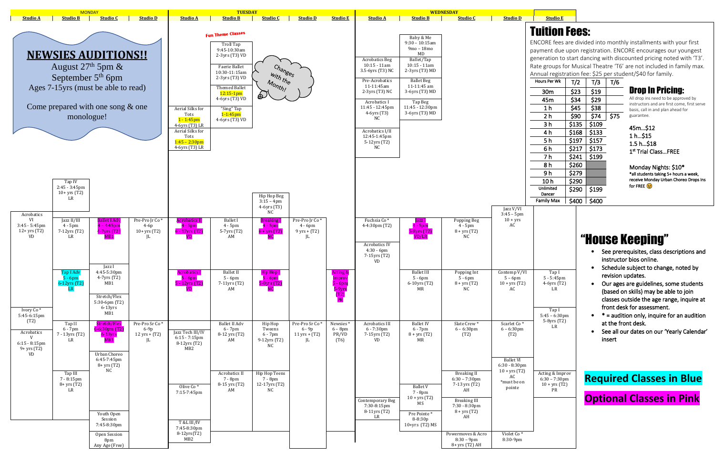

Monday Nights: \$10\* \*all students taking 5+ hours a week, receive Monday Urban Choreo Drops Ins for FREE  $\odot$ 

Tap I 5 - 5:45pm 4-6yrs (T2) LR Tap I 5:45 – 6:30pm  $5-8yrs$   $(T2)$ Acting & Improv  $6:30 - 7:30$ pm 10 + yrs (T2)

# Tuition Fees:

ENCORE fees are divided into monthly installments with your first payment due upon registration. ENCORE encourages our youngest generation to start dancing with discounted pricing noted with 'T3'. Rate groups for Musical Theatre 'T6' are not included in family max. Annual registration fee: \$25 per student/\$40 for family.

| <b>Hours Per Wk</b> | T/2   | T/3   | T/6  |
|---------------------|-------|-------|------|
| 30m                 | \$23  | \$19  |      |
| 45m                 | \$34  | \$29  |      |
| 1 <sub>h</sub>      | \$45  | \$38  |      |
| 2 h                 | \$90  | \$74  | \$75 |
| 3 h                 | \$135 | \$109 |      |
| 4 h                 | \$168 | \$133 |      |
| 5h                  | \$197 | \$157 |      |
| 6 h                 | \$217 | \$173 |      |
| 7 h                 | \$241 | \$199 |      |
| 8 h                 | \$260 |       |      |
| 9 h                 | \$279 |       |      |
| 10 h                | \$290 |       |      |
| Unlimited<br>Dancer | \$290 | \$199 |      |
| <b>Family Max</b>   | \$400 | \$400 |      |

# "House Keeping"

- See prerequisites, class descriptions and instructor bios online.
- Schedule subject to change, noted by revision updates.
- Our ages are guidelines, some students (based on skills) may be able to join classes outside the age range, inquire at front desk for assessment.
- $*$  = audition only, inquire for an audition at the front desk.
- See all our dates on our 'Yearly Calendar' insert

### Drop In Pricing:

All drop ins need to be approved by instructors and are first come, first serve basis, call in and plan ahead for guarantee.

#### 45m…\$12 1 h…\$15 1.5 h…\$18 1 st Trial Class…FREE

## **Required Classes in Blue**

**Optional Classes in Pink**